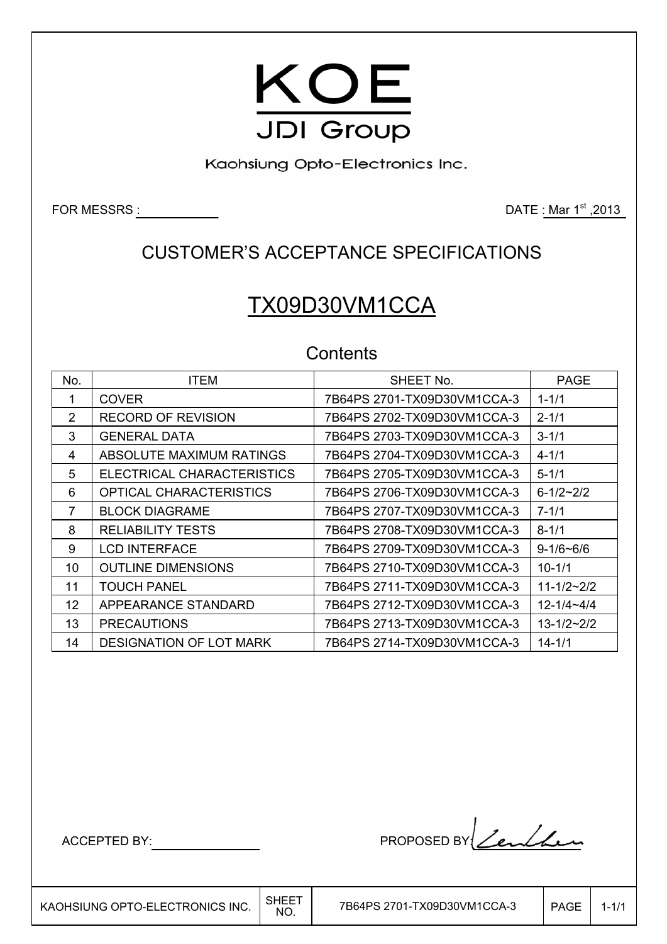

Kaohsiung Opto-Electronics Inc.

FOR MESSRS : DATE : Mar 1<sup>st</sup> ,2013

## CUSTOMER'S ACCEPTANCE SPECIFICATIONS

# TX09D30VM1CCA

### **Contents**

| No.            | <b>ITEM</b>                    | SHEET No.                   | <b>PAGE</b>         |
|----------------|--------------------------------|-----------------------------|---------------------|
| 1              | <b>COVER</b>                   | 7B64PS 2701-TX09D30VM1CCA-3 | $1 - 1/1$           |
| $\overline{2}$ | <b>RECORD OF REVISION</b>      | 7B64PS 2702-TX09D30VM1CCA-3 | $2 - 1/1$           |
| 3              | <b>GENERAL DATA</b>            | 7B64PS 2703-TX09D30VM1CCA-3 | $3 - 1/1$           |
| 4              | ABSOLUTE MAXIMUM RATINGS       | 7B64PS 2704-TX09D30VM1CCA-3 | $4 - 1/1$           |
| 5              | ELECTRICAL CHARACTERISTICS     | 7B64PS 2705-TX09D30VM1CCA-3 | $5 - 1/1$           |
| 6              | OPTICAL CHARACTERISTICS        | 7B64PS 2706-TX09D30VM1CCA-3 | $6 - 1/2 - 2/2$     |
| 7              | <b>BLOCK DIAGRAME</b>          | 7B64PS 2707-TX09D30VM1CCA-3 | $7 - 1/1$           |
| 8              | <b>RELIABILITY TESTS</b>       | 7B64PS 2708-TX09D30VM1CCA-3 | $8 - 1/1$           |
| 9              | <b>LCD INTERFACE</b>           | 7B64PS 2709-TX09D30VM1CCA-3 | $9 - 1/6 - 6/6$     |
| 10             | <b>OUTLINE DIMENSIONS</b>      | 7B64PS 2710-TX09D30VM1CCA-3 | $10 - 1/1$          |
| 11             | TOUCH PANEL                    | 7B64PS 2711-TX09D30VM1CCA-3 | $11 - 1/2 - 2/2$    |
| 12             | APPEARANCE STANDARD            | 7B64PS 2712-TX09D30VM1CCA-3 | $12 - 1/4 - 4/4$    |
| 13             | <b>PRECAUTIONS</b>             | 7B64PS 2713-TX09D30VM1CCA-3 | $13 - 1/2 \sim 2/2$ |
| 14             | <b>DESIGNATION OF LOT MARK</b> | 7B64PS 2714-TX09D30VM1CCA-3 | $14 - 1/1$          |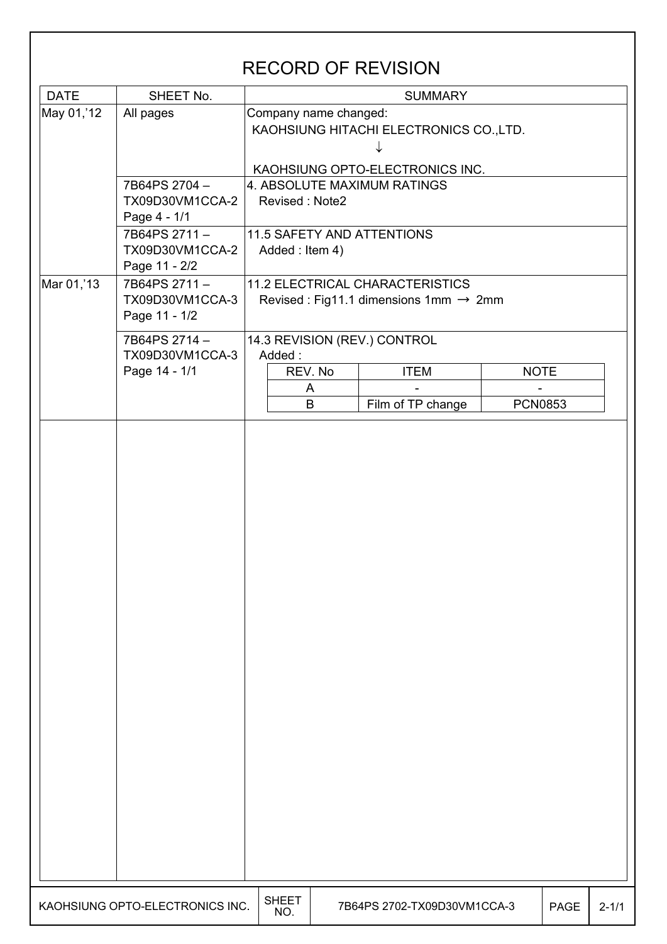|             |                                                  |                              |                                                                                              | <b>RECORD OF REVISION</b>               |  |                |           |  |  |  |  |  |  |  |
|-------------|--------------------------------------------------|------------------------------|----------------------------------------------------------------------------------------------|-----------------------------------------|--|----------------|-----------|--|--|--|--|--|--|--|
| <b>DATE</b> | SHEET No.                                        |                              |                                                                                              | <b>SUMMARY</b>                          |  |                |           |  |  |  |  |  |  |  |
| May 01,'12  | All pages                                        | Company name changed:        |                                                                                              | KAOHSIUNG HITACHI ELECTRONICS CO., LTD. |  |                |           |  |  |  |  |  |  |  |
|             |                                                  |                              |                                                                                              | KAOHSIUNG OPTO-ELECTRONICS INC.         |  |                |           |  |  |  |  |  |  |  |
|             | 7B64PS 2704-<br>TX09D30VM1CCA-2<br>Page 4 - 1/1  | Revised: Note2               |                                                                                              | 4. ABSOLUTE MAXIMUM RATINGS             |  |                |           |  |  |  |  |  |  |  |
|             | 7B64PS 2711-<br>TX09D30VM1CCA-2<br>Page 11 - 2/2 | Added: Item 4)               |                                                                                              | 11.5 SAFETY AND ATTENTIONS              |  |                |           |  |  |  |  |  |  |  |
| Mar 01,'13  | 7B64PS 2711-<br>TX09D30VM1CCA-3<br>Page 11 - 1/2 |                              | <b>11.2 ELECTRICAL CHARACTERISTICS</b><br>Revised : Fig11.1 dimensions 1mm $\rightarrow$ 2mm |                                         |  |                |           |  |  |  |  |  |  |  |
|             | 7B64PS 2714-                                     | 14.3 REVISION (REV.) CONTROL |                                                                                              |                                         |  |                |           |  |  |  |  |  |  |  |
|             | TX09D30VM1CCA-3<br>Page 14 - 1/1                 | Added:                       | REV. No                                                                                      | <b>ITEM</b>                             |  | <b>NOTE</b>    |           |  |  |  |  |  |  |  |
|             |                                                  |                              | A<br>B                                                                                       | Film of TP change                       |  | <b>PCN0853</b> |           |  |  |  |  |  |  |  |
|             |                                                  |                              |                                                                                              |                                         |  |                |           |  |  |  |  |  |  |  |
|             |                                                  |                              |                                                                                              |                                         |  |                |           |  |  |  |  |  |  |  |
|             | KAOHSIUNG OPTO-ELECTRONICS INC.                  | <b>SHEET</b><br>NO.          |                                                                                              | 7B64PS 2702-TX09D30VM1CCA-3             |  | <b>PAGE</b>    | $2 - 1/1$ |  |  |  |  |  |  |  |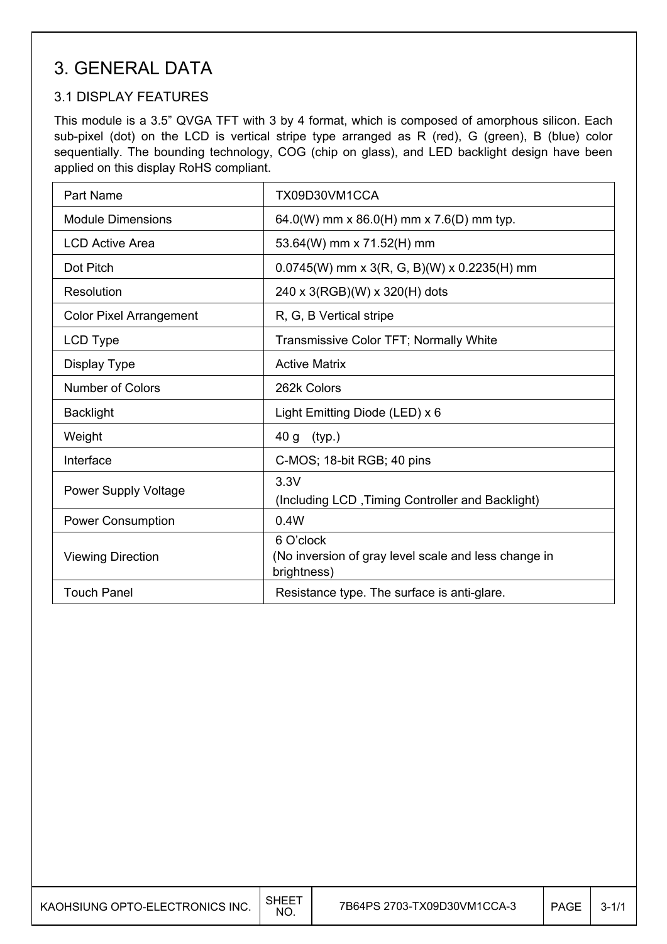### 3. GENERAL DATA

#### 3.1 DISPLAY FEATURES

This module is a 3.5" QVGA TFT with 3 by 4 format, which is composed of amorphous silicon. Each sub-pixel (dot) on the LCD is vertical stripe type arranged as R (red), G (green), B (blue) color sequentially. The bounding technology, COG (chip on glass), and LED backlight design have been applied on this display RoHS compliant.

| Part Name                      | TX09D30VM1CCA                                                                    |
|--------------------------------|----------------------------------------------------------------------------------|
| <b>Module Dimensions</b>       | 64.0(W) mm x 86.0(H) mm x 7.6(D) mm typ.                                         |
| <b>LCD Active Area</b>         | 53.64(W) mm x 71.52(H) mm                                                        |
| Dot Pitch                      | $0.0745(W)$ mm x 3(R, G, B)(W) x 0.2235(H) mm                                    |
| Resolution                     | 240 x 3(RGB)(W) x 320(H) dots                                                    |
| <b>Color Pixel Arrangement</b> | R, G, B Vertical stripe                                                          |
| LCD Type                       | Transmissive Color TFT; Normally White                                           |
| Display Type                   | <b>Active Matrix</b>                                                             |
| <b>Number of Colors</b>        | 262k Colors                                                                      |
| <b>Backlight</b>               | Light Emitting Diode (LED) x 6                                                   |
| Weight                         | 40 g<br>(typ.)                                                                   |
| Interface                      | C-MOS; 18-bit RGB; 40 pins                                                       |
| <b>Power Supply Voltage</b>    | 3.3V<br>(Including LCD, Timing Controller and Backlight)                         |
| <b>Power Consumption</b>       | 0.4W                                                                             |
| <b>Viewing Direction</b>       | 6 O'clock<br>(No inversion of gray level scale and less change in<br>brightness) |
| <b>Touch Panel</b>             | Resistance type. The surface is anti-glare.                                      |

 $\overline{\phantom{a}}$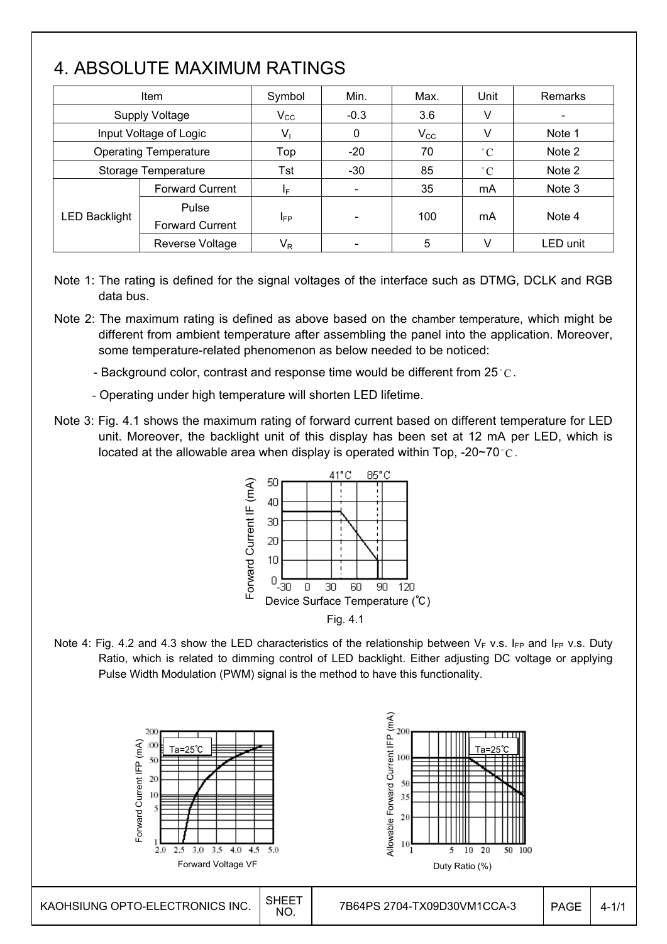# 4. ABSOLUTE MAXIMUM RATINGS

 $\overline{\phantom{a}}$ 

|               | Item                            | Symbol                  | Min.                     | Max.         | Unit        | <b>Remarks</b> |
|---------------|---------------------------------|-------------------------|--------------------------|--------------|-------------|----------------|
|               | <b>Supply Voltage</b>           | $V_{\rm CC}$            | $-0.3$                   | 3.6          | v           |                |
|               | Input Voltage of Logic          | V,                      | 0                        | $V_{\rm CC}$ | v           | Note 1         |
|               | <b>Operating Temperature</b>    | Top                     | $-20$                    | 70           | $\degree$ C | Note 2         |
|               | Storage Temperature             | Tst                     | $-30$                    | 85           | $\degree$ C | Note 2         |
|               | <b>Forward Current</b>          | ΙF                      | $\overline{\phantom{a}}$ | 35           | mA          | Note 3         |
| LED Backlight | Pulse<br><b>Forward Current</b> | <b>I</b> FP             | $\overline{\phantom{a}}$ | 100          | mA          | Note 4         |
|               | Reverse Voltage                 | $\mathsf{V}_\mathsf{R}$ |                          | 5            | V           | LED unit       |

- Note 1: The rating is defined for the signal voltages of the interface such as DTMG, DCLK and RGB data bus.
- Note 2: The maximum rating is defined as above based on the chamber temperature, which might be different from ambient temperature after assembling the panel into the application. Moreover, some temperature-related phenomenon as below needed to be noticed:
	- Background color, contrast and response time would be different from 25 $^{\circ}$ C.
	- Operating under high temperature will shorten LED lifetime.
- Note 3: Fig. 4.1 shows the maximum rating of forward current based on different temperature for LED unit. Moreover, the backlight unit of this display has been set at 12 mA per LED, which is located at the allowable area when display is operated within Top, -20~70 $\degree$ C.



Note 4: Fig. 4.2 and 4.3 show the LED characteristics of the relationship between  $V_F$  v.s. I<sub>FP</sub> and I<sub>FP</sub> v.s. Duty Ratio, which is related to dimming control of LED backlight. Either adjusting DC voltage or applying Pulse Width Modulation (PWM) signal is the method to have this functionality.

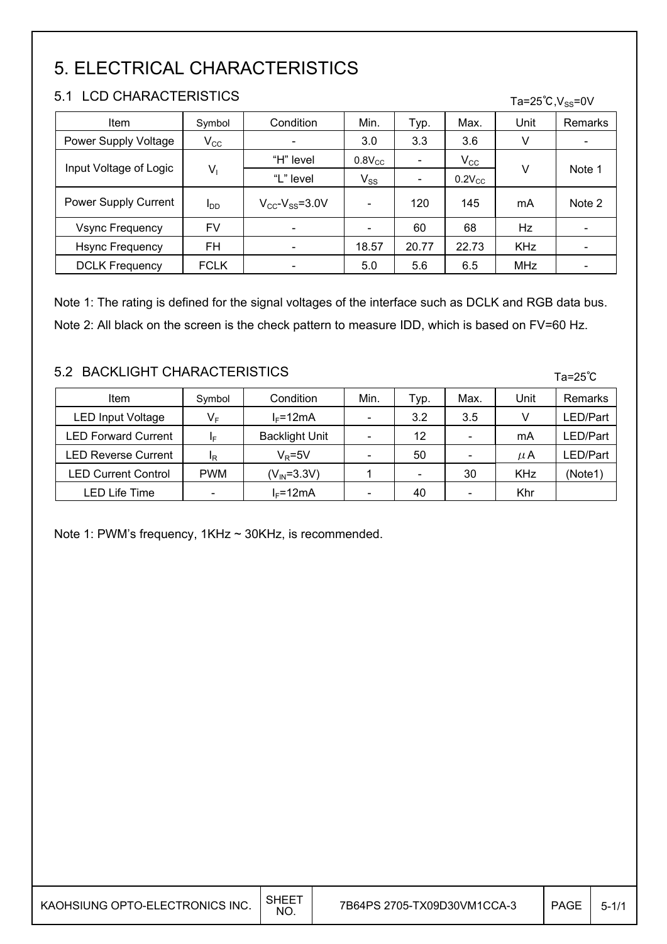# 5. ELECTRICAL CHARACTERISTICS

#### 5.1 LCD CHARACTERISTICS

| ו ט<br>LUD UNARAUTERIOTIUJ           | Ta=25 $^{\circ}$ C,V <sub>ss</sub> =0V |                                   |              |       |              |            |                          |  |
|--------------------------------------|----------------------------------------|-----------------------------------|--------------|-------|--------------|------------|--------------------------|--|
| <b>Item</b>                          | Symbol                                 | Condition                         | Min.         | Typ.  | Max.         | Unit       | Remarks                  |  |
| $V_{\rm CC}$<br>Power Supply Voltage |                                        |                                   | 3.0          | 3.3   | 3.6          | v          | -                        |  |
| Input Voltage of Logic               |                                        | "H" level                         | $0.8$ V $cc$ | -     | $V_{\rm CC}$ |            | Note 1                   |  |
|                                      | $V_1$                                  | "L" level                         | $V_{SS}$     | -     | $0.2V_{CC}$  | v          |                          |  |
| Power Supply Current                 | l <sub>DD</sub>                        | $V_{\rm cc}$ - $V_{\rm ss}$ =3.0V |              | 120   | 145          | mA         | Note 2                   |  |
| Vsync Frequency                      | FV                                     | ۰                                 |              | 60    | 68           | Hz         | $\overline{\phantom{a}}$ |  |
| <b>Hsync Frequency</b>               | FH                                     |                                   | 18.57        | 20.77 | 22.73        | <b>KHz</b> | -                        |  |
| <b>DCLK Frequency</b>                | <b>FCLK</b>                            |                                   | 5.0          | 5.6   | 6.5          | <b>MHz</b> | $\overline{\phantom{a}}$ |  |

Note 1: The rating is defined for the signal voltages of the interface such as DCLK and RGB data bus. Note 2: All black on the screen is the check pattern to measure IDD, which is based on FV=60 Hz.

#### 5.2 BACKLIGHT CHARACTERISTICS

I I

I

| Item                       | Symbol     | Condition             | Min. | Typ.                         | Max. | Unit | <b>Remarks</b> |
|----------------------------|------------|-----------------------|------|------------------------------|------|------|----------------|
| <b>LED Input Voltage</b>   | VF         | $I_F = 12mA$          |      | 3.2                          | 3.5  |      | _ED/Part       |
| <b>LED Forward Current</b> | ΙF         | <b>Backlight Unit</b> |      | 12                           |      | mA   | _ED/Part       |
| <b>LED Reverse Current</b> | ΙR         | $V_R = 5V$            |      | 50                           |      | μA   | _ED/Part       |
| <b>LED Current Control</b> | <b>PWM</b> | $(V_{IN} = 3.3V)$     |      | $\qquad \qquad \blacksquare$ | 30   | KHz  | (Note1)        |
| <b>LED Life Time</b>       | -          | $I_F = 12mA$          |      | 40                           |      | Khr  |                |

Note 1: PWM's frequency, 1KHz ~ 30KHz, is recommended.

Ta=25℃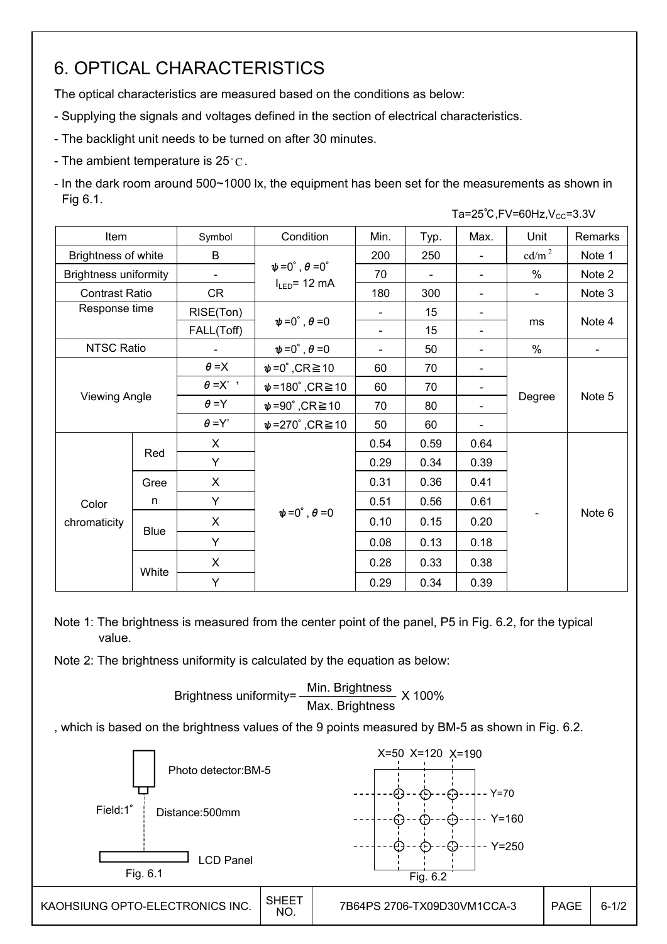## 6. OPTICAL CHARACTERISTICS

The optical characteristics are measured based on the conditions as below:

- Supplying the signals and voltages defined in the section of electrical characteristics.
- The backlight unit needs to be turned on after 30 minutes.
- The ambient temperature is  $25^{\circ}$ C.

- In the dark room around 500~1000 lx, the equipment has been set for the measurements as shown in Fig 6.1.

|                              |             |                          |                                       |                |      |                          | Ta=25°C, FV=60Hz, $V_{CC}$ =3.3V |         |  |
|------------------------------|-------------|--------------------------|---------------------------------------|----------------|------|--------------------------|----------------------------------|---------|--|
| Item                         |             | Symbol                   | Condition                             | Min.           | Typ. | Max.                     | Unit                             | Remarks |  |
| Brightness of white          |             | B                        |                                       | 200            | 250  | $\blacksquare$           | $\text{cd/m}^2$                  | Note 1  |  |
| <b>Brightness uniformity</b> |             | $\overline{\phantom{a}}$ | $\psi = 0^\circ$ , $\theta = 0^\circ$ | 70             |      | $\overline{\phantom{a}}$ | $\%$                             | Note 2  |  |
| <b>Contrast Ratio</b>        |             | CR                       | $I_{LED}$ = 12 mA                     | 180            | 300  |                          | $\blacksquare$                   | Note 3  |  |
| Response time                |             | RISE(Ton)                |                                       |                | 15   | $\overline{\phantom{a}}$ |                                  |         |  |
|                              |             | FALL(Toff)               | $\psi = 0^\circ$ , $\theta = 0$       |                | 15   | $\overline{\phantom{0}}$ | ms                               | Note 4  |  |
| <b>NTSC Ratio</b>            |             |                          | $\psi = 0^\circ$ , $\theta = 0$       | $\blacksquare$ | 50   |                          | $\%$                             |         |  |
|                              |             | $\theta = X$             | $\psi = 0^\circ$ , CR $\geq 10$       | 60             | 70   | -                        |                                  |         |  |
|                              |             | $\theta = X'$            | $\psi$ =180°,CR $\geq$ 10             | 60             | 70   |                          |                                  |         |  |
| <b>Viewing Angle</b>         |             | $\theta = Y$             | $\psi = 90^\circ$ , CR $\geq 10$      | 70             | 80   |                          | Degree                           | Note 5  |  |
|                              |             | $\theta = Y'$            | $\psi$ =270°,CR $\geq$ 10             | 50             | 60   |                          |                                  |         |  |
|                              |             | $\mathsf{X}$             |                                       | 0.54           | 0.59 | 0.64                     |                                  |         |  |
|                              | Red         | Υ                        |                                       | 0.29           | 0.34 | 0.39                     |                                  |         |  |
|                              | Gree        | X                        |                                       | 0.31           | 0.36 | 0.41                     |                                  |         |  |
| Color                        | n           | Y                        |                                       | 0.51           | 0.56 | 0.61                     |                                  |         |  |
| chromaticity                 |             | X                        | $\psi = 0^\circ$ , $\theta = 0$       | 0.10           | 0.15 | 0.20                     |                                  | Note 6  |  |
|                              | <b>Blue</b> | Y                        |                                       | 0.08           | 0.13 | 0.18                     |                                  |         |  |
|                              |             | X                        |                                       | 0.28           | 0.33 | 0.38                     |                                  |         |  |
|                              | White       | Y                        |                                       | 0.29           | 0.34 | 0.39                     |                                  |         |  |

Note 1: The brightness is measured from the center point of the panel, P5 in Fig. 6.2, for the typical value.

Note 2: The brightness uniformity is calculated by the equation as below:

 100% Max. Brightnes Brightness uniformity= Min. Brightness Brightness uniformity= $\frac{\text{Min.~Brighteness}}{\text{min.~S} \times 100\%}$ Max. Brightness

, which is based on the brightness values of the 9 points measured by BM-5 as shown in Fig. 6.2.

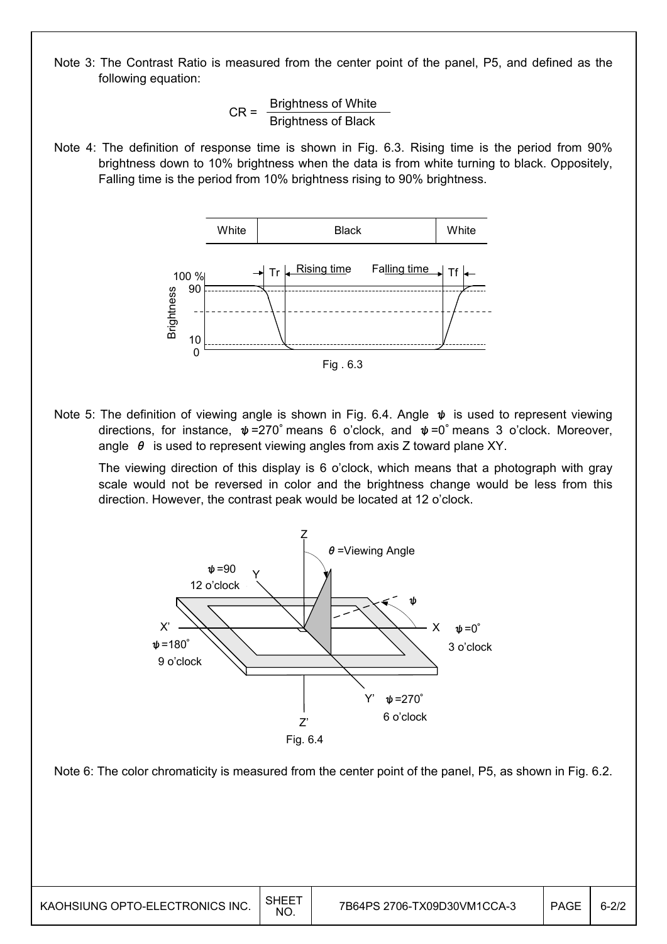Note 3: The Contrast Ratio is measured from the center point of the panel, P5, and defined as the following equation:

> $\overline{\phantom{0}}$ Brightness of Black  $CR = \frac{Brightness of White}{R + 1}$ Brightness of Black

Note 4: The definition of response time is shown in Fig. 6.3. Rising time is the period from 90% brightness down to 10% brightness when the data is from white turning to black. Oppositely, Falling time is the period from 10% brightness rising to 90% brightness.



Note 5: The definition of viewing angle is shown in Fig. 6.4. Angle  $\psi$  is used to represent viewing directions, for instance,  $\psi$ =270° means 6 o'clock, and  $\psi$ =0° means 3 o'clock. Moreover, angle  $\theta$  is used to represent viewing angles from axis Z toward plane XY.

 The viewing direction of this display is 6 o'clock, which means that a photograph with gray scale would not be reversed in color and the brightness change would be less from this direction. However, the contrast peak would be located at 12 o'clock.



Note 6: The color chromaticity is measured from the center point of the panel, P5, as shown in Fig. 6.2.

 $\overline{\phantom{a}}$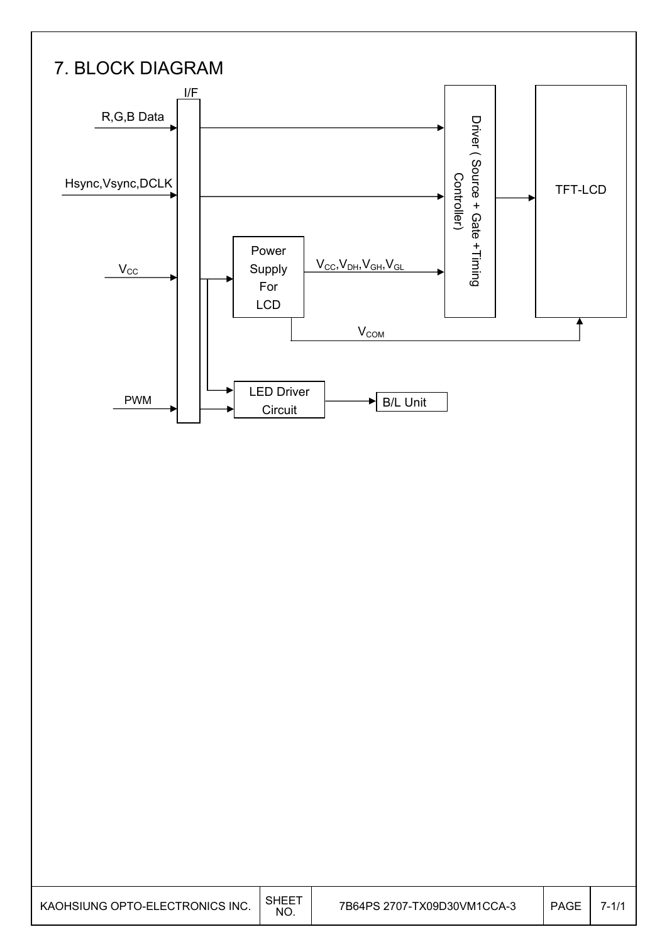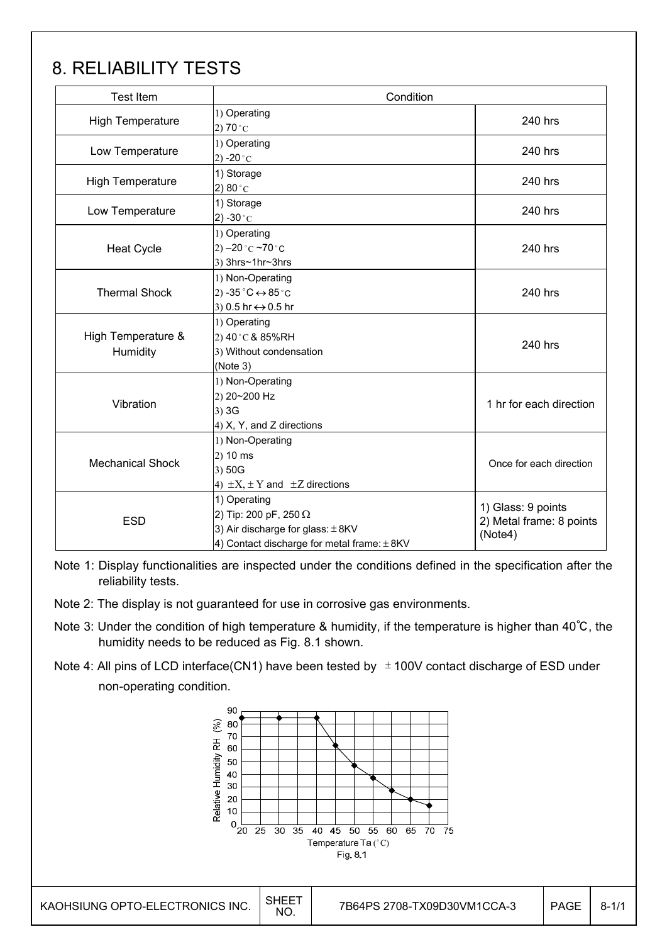# 8. RELIABILITY TESTS

| <b>Test Item</b>               | Condition                                                                                       |                         |  |  |  |  |  |
|--------------------------------|-------------------------------------------------------------------------------------------------|-------------------------|--|--|--|--|--|
| <b>High Temperature</b>        | 1) Operating<br>2) $70^{\circ}$ C                                                               | 240 hrs                 |  |  |  |  |  |
| Low Temperature                | 1) Operating<br>2) -20 $^{\circ}$ C                                                             | 240 hrs                 |  |  |  |  |  |
| High Temperature               | 1) Storage<br>2) $80^{\circ}$ C                                                                 | 240 hrs                 |  |  |  |  |  |
| Low Temperature                | 1) Storage<br>2) -30 $^{\circ}$ C                                                               | 240 hrs                 |  |  |  |  |  |
| <b>Heat Cycle</b>              | 1) Operating<br>2) $-20$ °C $-70$ °C<br>3) 3hrs~1hr~3hrs                                        | 240 hrs                 |  |  |  |  |  |
| <b>Thermal Shock</b>           | 1) Non-Operating<br>2) -35 $^{\circ}$ C $\leftrightarrow$ 85 $^{\circ}$ C<br>3) 0.5 hr ↔ 0.5 hr |                         |  |  |  |  |  |
| High Temperature &<br>Humidity | 1) Operating<br>2) 40 °C & 85%RH<br>3) Without condensation<br>(Note 3)                         |                         |  |  |  |  |  |
| Vibration                      | 1) Non-Operating<br>2) 20~200 Hz<br>$3)$ 3G<br>4) X, Y, and Z directions                        | 1 hr for each direction |  |  |  |  |  |
| <b>Mechanical Shock</b>        | 1) Non-Operating<br>$2)$ 10 ms<br>3) 50G<br>4) $\pm X$ , $\pm Y$ and $\pm Z$ directions         |                         |  |  |  |  |  |
| <b>ESD</b>                     | 1) Glass: 9 points<br>2) Metal frame: 8 points<br>(Note4)                                       |                         |  |  |  |  |  |

Note 1: Display functionalities are inspected under the conditions defined in the specification after the reliability tests.

- Note 2: The display is not guaranteed for use in corrosive gas environments.
- Note 3: Under the condition of high temperature & humidity, if the temperature is higher than 40℃, the humidity needs to be reduced as Fig. 8.1 shown.
- Note 4: All pins of LCD interface(CN1) have been tested by  $\pm$  100V contact discharge of ESD under non-operating condition.

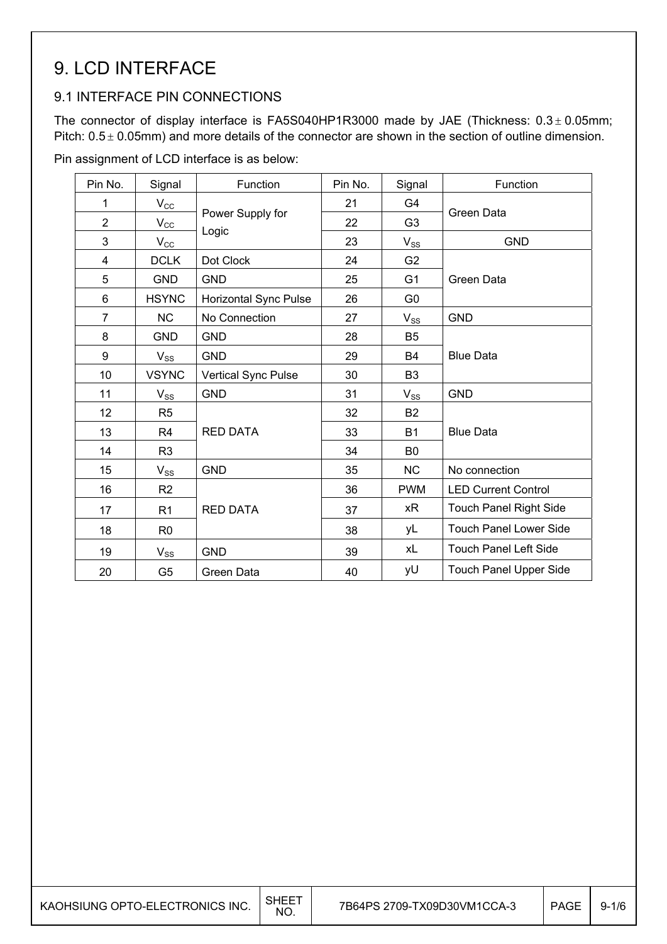## 9. LCD INTERFACE

### 9.1 INTERFACE PIN CONNECTIONS

The connector of display interface is FA5S040HP1R3000 made by JAE (Thickness:  $0.3 \pm 0.05$ mm; Pitch:  $0.5 \pm 0.05$ mm) and more details of the connector are shown in the section of outline dimension.

Pin assignment of LCD interface is as below:

| Pin No.        | Signal          | Function              | Pin No. | Signal         | Function                      |
|----------------|-----------------|-----------------------|---------|----------------|-------------------------------|
| 1              | $V_{\rm CC}$    |                       | 21      | G4             |                               |
| $\overline{2}$ | $V_{\text{CC}}$ | Power Supply for      | 22      | G <sub>3</sub> | Green Data                    |
| 3              | $V_{\rm CC}$    | Logic                 | 23      | $V_{SS}$       | <b>GND</b>                    |
| 4              | <b>DCLK</b>     | Dot Clock             | 24      | G <sub>2</sub> |                               |
| 5              | <b>GND</b>      | <b>GND</b>            | 25      | G <sub>1</sub> | Green Data                    |
| 6              | <b>HSYNC</b>    | Horizontal Sync Pulse | 26      | G <sub>0</sub> |                               |
| $\overline{7}$ | <b>NC</b>       | No Connection         | 27      | $V_{SS}$       | <b>GND</b>                    |
| 8              | <b>GND</b>      | <b>GND</b>            | 28      | B <sub>5</sub> |                               |
| 9              | $V_{SS}$        | <b>GND</b>            | 29      | <b>B4</b>      | <b>Blue Data</b>              |
| 10             | <b>VSYNC</b>    | Vertical Sync Pulse   | 30      | B <sub>3</sub> |                               |
| 11             | $V_{SS}$        | <b>GND</b>            | 31      | $V_{SS}$       | <b>GND</b>                    |
| 12             | R <sub>5</sub>  |                       | 32      | <b>B2</b>      |                               |
| 13             | R <sub>4</sub>  | <b>RED DATA</b>       | 33      | <b>B1</b>      | <b>Blue Data</b>              |
| 14             | R <sub>3</sub>  |                       | 34      | B <sub>0</sub> |                               |
| 15             | $V_{SS}$        | <b>GND</b>            | 35      | <b>NC</b>      | No connection                 |
| 16             | R <sub>2</sub>  |                       | 36      | <b>PWM</b>     | <b>LED Current Control</b>    |
| 17             | R <sub>1</sub>  | <b>RED DATA</b>       | 37      | хR             | <b>Touch Panel Right Side</b> |
| 18             | R <sub>0</sub>  |                       | 38      | yL             | <b>Touch Panel Lower Side</b> |
| 19             | $V_{SS}$        | <b>GND</b>            | 39      | xL             | <b>Touch Panel Left Side</b>  |
| 20             | G <sub>5</sub>  | Green Data            | 40      | yU             | <b>Touch Panel Upper Side</b> |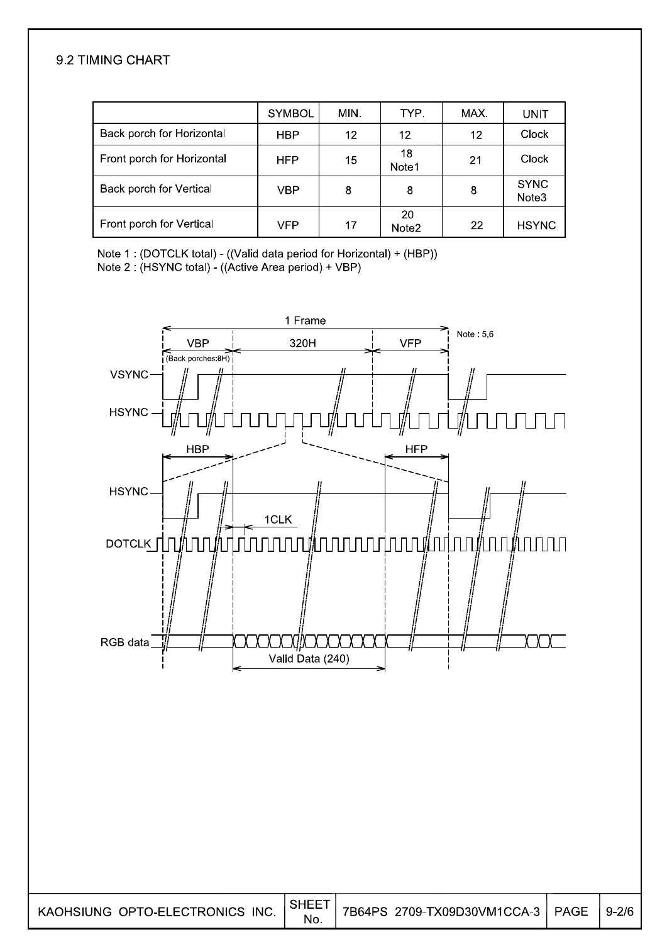#### 9.2 TIMING CHART

|                            | <b>SYMBOL</b> | MIN. | TYP.                    | MAX. | UNIT                 |
|----------------------------|---------------|------|-------------------------|------|----------------------|
| Back porch for Horizontal  | HBP           | 12   | 12                      | 12   | Clock                |
| Front porch for Horizontal | <b>HFP</b>    | 15   | 18<br>Note1             | 21   | Clock                |
| Back porch for Vertical    | VBP           | 8    | 8                       | 8    | <b>SYNC</b><br>Note3 |
| Front porch for Vertical   | VFP           | 17   | 20<br>Note <sub>2</sub> | 22   | <b>HSYNC</b>         |

Note 1: (DOTCLK total) - ((Valid data period for Horizontal) + (HBP)) Note 2 : (HSYNC total) - ((Active Area period) + VBP)



**PAGE**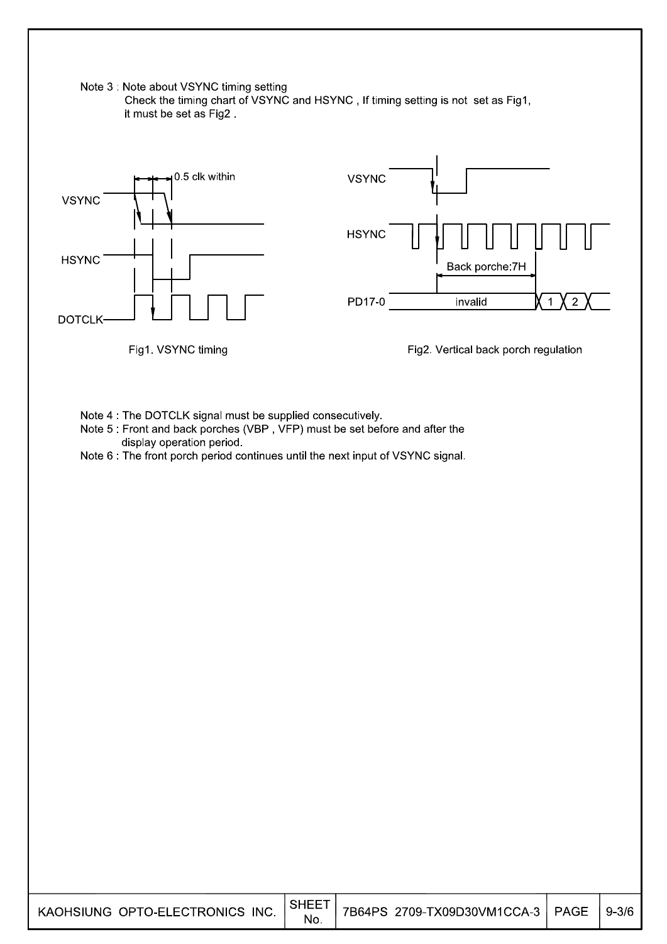

 $9 - 3/6$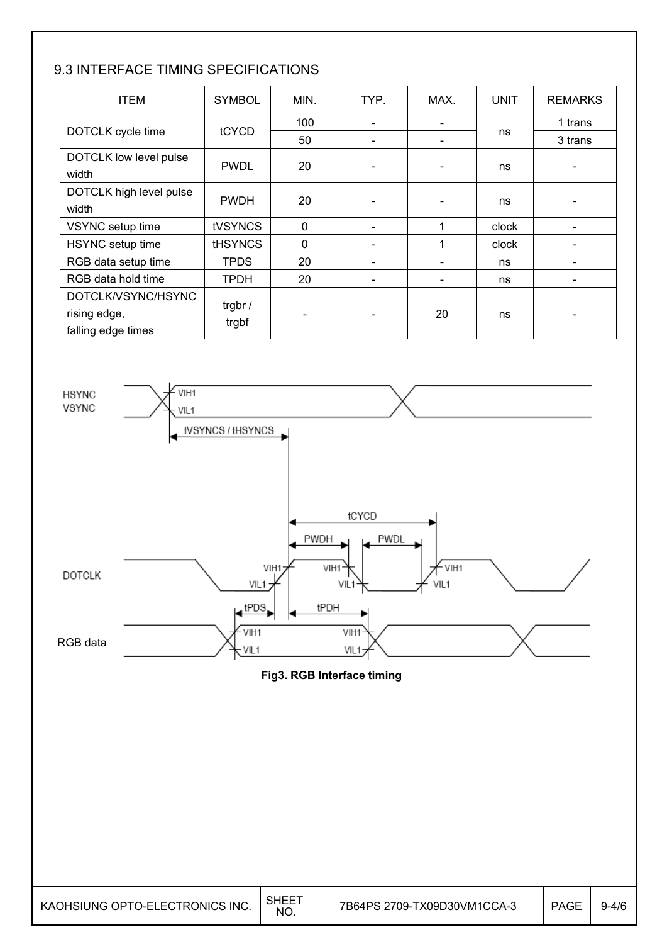### 9.3 INTERFACE TIMING SPECIFICATIONS

| <b>ITEM</b>                                              | <b>SYMBOL</b>    | MIN.         | TYP. | MAX. | <b>UNIT</b> | <b>REMARKS</b> |
|----------------------------------------------------------|------------------|--------------|------|------|-------------|----------------|
|                                                          |                  | 100          |      |      |             | 1 trans        |
| DOTCLK cycle time                                        | tCYCD            | 50           |      |      | ns          | 3 trans        |
| DOTCLK low level pulse<br>width                          | <b>PWDL</b>      | 20           |      |      | ns          |                |
| DOTCLK high level pulse<br>width                         | <b>PWDH</b>      | 20           |      |      | ns          |                |
| VSYNC setup time                                         | <b>tVSYNCS</b>   | $\mathbf{0}$ |      |      | clock       |                |
| HSYNC setup time                                         | <b>tHSYNCS</b>   | $\mathbf{0}$ |      |      | clock       |                |
| RGB data setup time                                      | <b>TPDS</b>      | 20           |      |      | ns          |                |
| RGB data hold time                                       | <b>TPDH</b>      | 20           |      |      | ns          |                |
| DOTCLK/VSYNC/HSYNC<br>rising edge,<br>falling edge times | trgbr /<br>trgbf |              |      | 20   | ns          |                |



**Fig3. RGB Interface timing**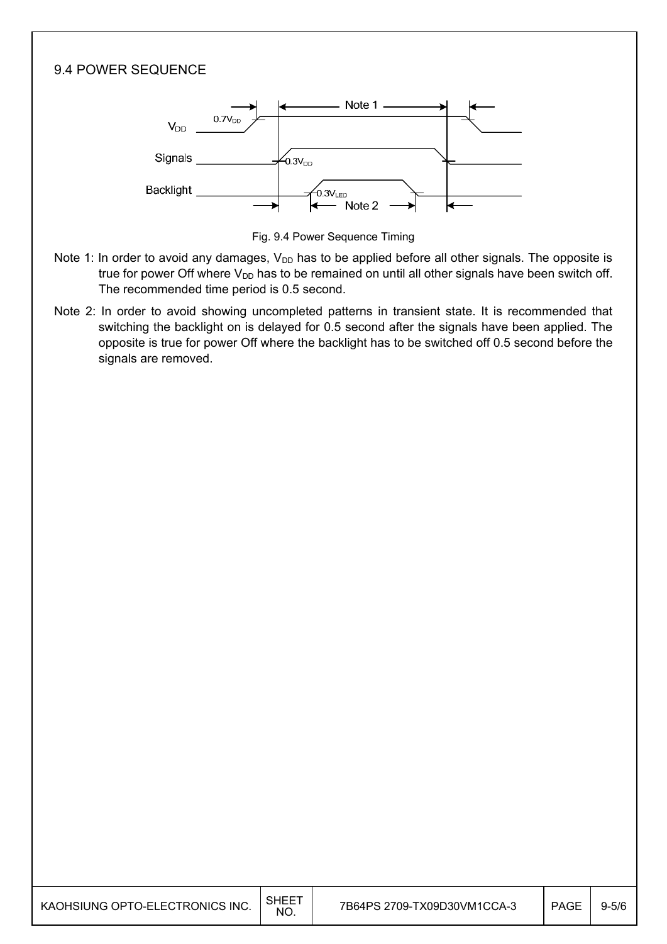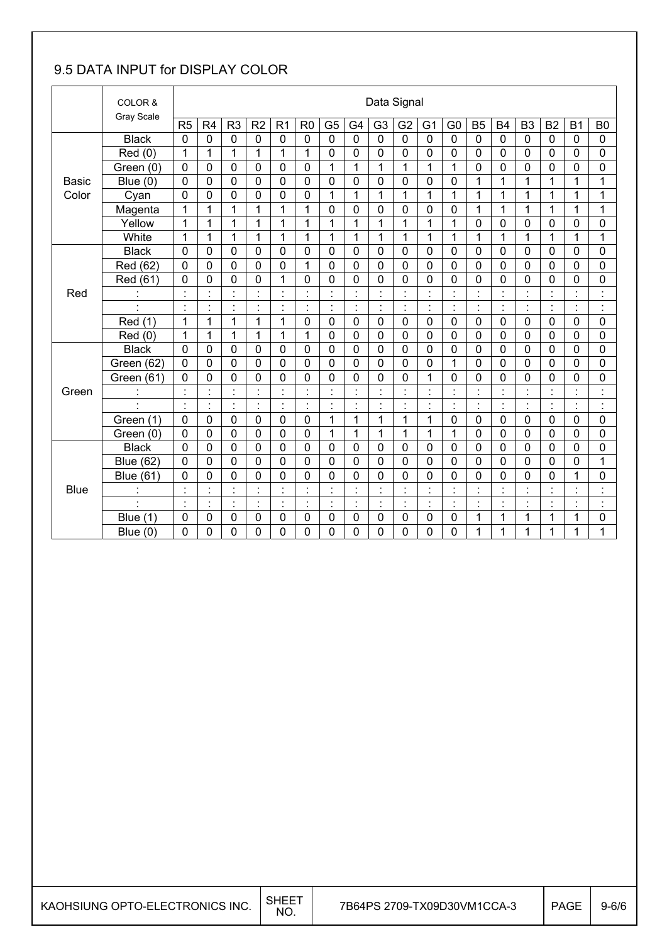### 9.5 DATA INPUT for DISPLAY COLOR

|              | COLOR &<br>Gray Scale |                      | Data Signal          |                      |                      |                          |                |                                  |                |                |                |                |                                  |                    |                      |                |                      |                          |                                        |
|--------------|-----------------------|----------------------|----------------------|----------------------|----------------------|--------------------------|----------------|----------------------------------|----------------|----------------|----------------|----------------|----------------------------------|--------------------|----------------------|----------------|----------------------|--------------------------|----------------------------------------|
|              |                       | R <sub>5</sub>       | R <sub>4</sub>       | R <sub>3</sub>       | R <sub>2</sub>       | R <sub>1</sub>           | R <sub>0</sub> | G <sub>5</sub>                   | G <sub>4</sub> | G <sub>3</sub> | G <sub>2</sub> | G <sub>1</sub> | G <sub>0</sub>                   | B <sub>5</sub>     | <b>B4</b>            | B <sub>3</sub> | B <sub>2</sub>       | B <sub>1</sub>           | B <sub>0</sub>                         |
|              | <b>Black</b>          | $\mathbf 0$          | $\mathbf 0$          | $\mathbf 0$          | $\mathbf 0$          | $\mathbf 0$              | $\mathbf 0$    | $\mathbf 0$                      | $\overline{0}$ | $\overline{0}$ | $\mathbf 0$    | 0              | $\mathbf 0$                      | $\mathbf 0$        | $\mathbf 0$          | $\mathbf 0$    | 0                    | $\mathbf 0$              | $\mathbf 0$                            |
|              | Red(0)                | 1                    | 1                    | 1                    | 1                    | 1                        | 1              | 0                                | $\mathbf 0$    | 0              | 0              | 0              | $\mathbf 0$                      | $\mathbf 0$        | 0                    | 0              | 0                    | 0                        | 0                                      |
|              | Green (0)             | $\mathbf 0$          | 0                    | 0                    | 0                    | $\mathbf 0$              | $\mathbf 0$    | 1                                | 1              | $\mathbf{1}$   | $\mathbf{1}$   | $\mathbf{1}$   | 1                                | $\mathbf 0$        | 0                    | 0              | 0                    | 0                        | 0                                      |
| <b>Basic</b> | Blue $(0)$            | $\mathbf 0$          | $\mathbf 0$          | 0                    | 0                    | 0                        | 0              | 0                                | $\mathbf 0$    | 0              | $\mathbf 0$    | 0              | 0                                | 1                  | 1                    | 1              | 1                    | 1                        | 1                                      |
| Color        | Cyan                  | 0                    | 0                    | 0                    | 0                    | 0                        | 0              | 1                                | 1              | 1              | 1              | 1              | 1                                | 1                  | 1                    | 1              | 1                    | 1                        | 1                                      |
|              | Magenta               | 1                    | 1                    | $\mathbf{1}$         | 1                    | 1                        | 1              | 0                                | $\mathbf 0$    | 0              | $\mathbf 0$    | 0              | 0                                | 1                  | 1                    | 1              | 1                    | $\mathbf{1}$             | 1                                      |
|              | Yellow                | 1                    | 1                    | 1                    | $\mathbf{1}$         | 1                        | 1              | 1                                | 1              | 1              | 1              | 1              | 1                                | $\mathbf 0$        | $\mathbf 0$          | 0              | 0                    | 0                        | 0                                      |
|              | White                 | 1                    | 1                    | 1                    | $\mathbf{1}$         | 1                        | 1              | 1                                | 1              | $\mathbf{1}$   | 1              | 1              | 1                                | 1                  | 1                    | 1              | 1                    | 1                        | 1                                      |
|              | <b>Black</b>          | $\mathbf 0$          | 0                    | 0                    | 0                    | 0                        | $\mathbf 0$    | 0                                | $\mathbf 0$    | 0              | $\mathbf 0$    | 0              | $\mathbf 0$                      | $\mathbf 0$        | $\mathbf 0$          | $\mathbf 0$    | $\mathbf 0$          | 0                        | $\mathbf 0$                            |
|              | Red (62)              | $\mathbf 0$          | 0                    | 0                    | 0                    | 0                        | 1              | 0                                | $\mathbf 0$    | $\overline{0}$ | $\mathbf 0$    | 0              | 0                                | $\mathbf 0$        | $\mathbf 0$          | $\mathbf 0$    | 0                    | 0                        | $\mathbf 0$                            |
|              | Red (61)              | $\mathbf 0$          | 0                    | 0                    | $\overline{0}$       | $\mathbf{1}$             | 0              | 0                                | $\mathbf 0$    | $\mathbf 0$    | $\mathbf 0$    | 0              | 0                                | $\mathbf 0$        | $\mathbf 0$          | 0              | 0                    | 0                        | 0                                      |
| Red          | $\blacksquare$        | $\blacksquare$       | $\blacksquare$       | $\blacksquare$       | $\blacksquare$       | $\cdot$                  | $\blacksquare$ | $\blacksquare$<br>$\epsilon$     | $\blacksquare$ | $\blacksquare$ | $\blacksquare$ | $\cdot$        | $\blacksquare$                   | $\cdot$<br>$\cdot$ | $\ddot{\phantom{a}}$ | $\cdot$        | $\blacksquare$       | $\overline{\phantom{a}}$ | $\ddot{\phantom{a}}$                   |
|              | $\blacksquare$        | $\blacksquare$       | $\blacksquare$       | $\blacksquare$<br>÷. | $\blacksquare$<br>÷, | $\cdot$<br>J.            | ä,             | ċ                                | $\cdot$        | $\ddot{\cdot}$ | ÷              | $\cdot$        | $\ddot{\phantom{a}}$             | $\ddot{\cdot}$     | $\blacksquare$       | $\cdot$        | $\ddot{\cdot}$       | $\blacksquare$           | ÷,                                     |
|              | Red (1)               | 1                    | 1                    | 1                    | 1                    | 1                        | $\mathbf 0$    | 0                                | $\mathbf 0$    | 0              | $\mathbf 0$    | 0              | $\mathbf 0$                      | $\mathbf 0$        | $\mathbf 0$          | $\mathbf 0$    | 0                    | 0                        | 0                                      |
|              | Red (0)               | 1                    | 1                    | 1                    | 1                    | 1                        | 1              | $\mathbf 0$                      | $\mathbf 0$    | 0              | 0              | 0              | $\mathbf 0$                      | $\mathbf 0$        | $\mathbf 0$          | 0              | 0                    | 0                        | 0                                      |
|              | <b>Black</b>          | 0                    | 0                    | $\overline{0}$       | 0                    | $\mathbf 0$              | $\mathbf 0$    | 0                                | $\overline{0}$ | $\overline{0}$ | $\mathbf 0$    | $\mathbf 0$    | 0                                | $\overline{0}$     | $\overline{0}$       | $\mathbf 0$    | $\overline{0}$       | $\Omega$                 | $\overline{0}$                         |
|              | Green (62)            | 0                    | 0                    | 0                    | 0                    | 0                        | 0              | 0                                | $\mathbf 0$    | 0              | $\mathbf 0$    | 0              | 1                                | $\mathbf 0$        | $\mathbf 0$          | $\mathbf 0$    | 0                    | 0                        | 0                                      |
|              | Green (61)            | 0                    | 0                    | $\overline{0}$       | 0                    | 0                        | 0              | 0                                | $\mathbf 0$    | 0              | 0              | 1              | 0                                | 0                  | 0                    | 0              | 0                    | $\overline{0}$           | 0                                      |
| Green        | $\bullet$             |                      | $\ddot{\phantom{0}}$ | $\blacksquare$       |                      |                          | $\cdot$        | $\blacksquare$<br>$\blacksquare$ |                |                | $\blacksquare$ | $\cdot$        | $\cdot$<br>$\blacksquare$        | $\cdot$            |                      |                | $\ddot{\phantom{0}}$ | $\blacksquare$           | $\blacksquare$<br>$\ddot{\phantom{a}}$ |
|              | $\blacksquare$        | ÷.                   | ÷.                   | ċ,                   | ł,                   | $\ddot{\cdot}$           | Ì.             | ł,                               | $\cdot$        | $\blacksquare$ | ł,             | $\cdot$        | $\ddot{\cdot}$                   | $\overline{\cdot}$ | $\blacksquare$       | $\ddot{\cdot}$ | ł,                   | $\blacksquare$           | ł,                                     |
|              | Green (1)             | $\mathbf 0$          | $\mathbf 0$          | $\mathbf 0$          | 0                    | 0                        | $\mathbf 0$    | 1                                | 1              | 1              | 1              | 1              | 0                                | $\mathbf 0$        | $\mathbf 0$          | $\mathbf 0$    | 0                    | 0                        | 0                                      |
|              | Green (0)             | $\mathbf 0$          | $\mathbf 0$          | $\mathbf 0$          | 0                    | $\mathbf 0$              | $\mathbf 0$    | $\mathbf{1}$                     | 1              | 1              | 1              | $\mathbf{1}$   | $\mathbf{1}$                     | $\mathbf 0$        | $\mathbf 0$          | 0              | 0                    | 0                        | 0                                      |
|              | <b>Black</b>          | $\mathbf 0$          | 0                    | 0                    | 0                    | $\mathbf 0$              | $\mathbf 0$    | 0                                | $\mathbf 0$    | 0              | $\mathbf 0$    | 0              | $\mathbf 0$                      | $\mathbf 0$        | $\mathbf 0$          | $\mathbf 0$    | 0                    | 0                        | 0                                      |
|              | <b>Blue (62)</b>      | $\mathbf 0$          | 0                    | 0                    | 0                    | 0                        | 0              | 0                                | $\mathbf 0$    | 0              | 0              | 0              | $\mathbf 0$                      | $\mathbf 0$        | $\mathbf 0$          | 0              | 0                    | 0                        | 1                                      |
|              | <b>Blue (61)</b>      | 0                    | 0                    | $\mathbf 0$          | 0                    | 0                        | 0              | 0                                | $\mathbf 0$    | 0              | 0              | 0              | 0                                | $\mathbf 0$        | $\mathbf 0$          | 0              | 0                    | 1                        | 0                                      |
| <b>Blue</b>  |                       | $\blacksquare$       | $\blacksquare$       | $\blacksquare$       | $\blacksquare$       | $\overline{\phantom{a}}$ | $\blacksquare$ | $\blacksquare$<br>$\bullet$      | $\cdot$        | $\blacksquare$ | $\blacksquare$ | $\blacksquare$ | $\blacksquare$<br>$\blacksquare$ | $\blacksquare$     | $\cdot$              | $\cdot$        | $\blacksquare$       | $\blacksquare$           | $\blacksquare$<br>×,                   |
|              | $\blacksquare$        | $\ddot{\phantom{0}}$ | ŀ,                   | ÷,                   | $\blacksquare$       | $\ddot{\cdot}$           | Ì.             | $\ddot{\cdot}$                   | $\blacksquare$ | $\cdot$        | ÷.             | ł,             | $\ddot{\cdot}$                   | $\blacksquare$     | $\blacksquare$       | $\cdot$        | $\ddot{\phantom{a}}$ | $\blacksquare$           | $\ddot{\phantom{a}}$                   |
|              | <b>Blue (1)</b>       | 0                    | 0                    | 0                    | 0                    | 0                        | 0              | 0                                | $\mathbf 0$    | 0              | $\mathbf 0$    | 0              | 0                                | 1                  | 1                    | 1              | 1                    | 1                        | 0                                      |
|              | Blue $(0)$            | 0                    | 0                    | 0                    | 0                    | 0                        | 0              | 0                                | 0              | 0              | 0              | 0              | 0                                | 1                  | 1                    | 1              | 1                    | 1                        | 1                                      |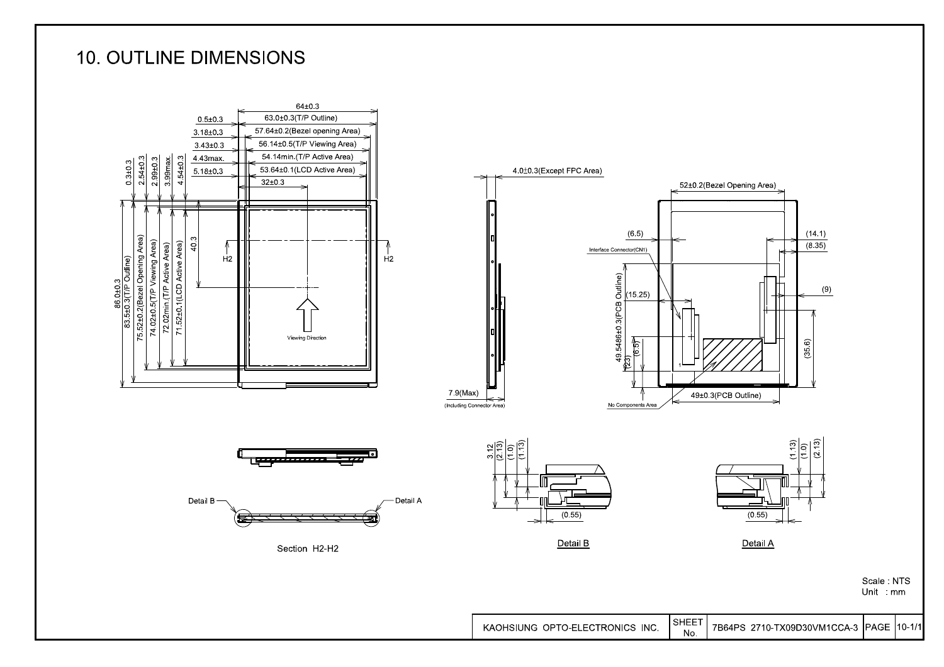### **10. OUTLINE DIMENSIONS**

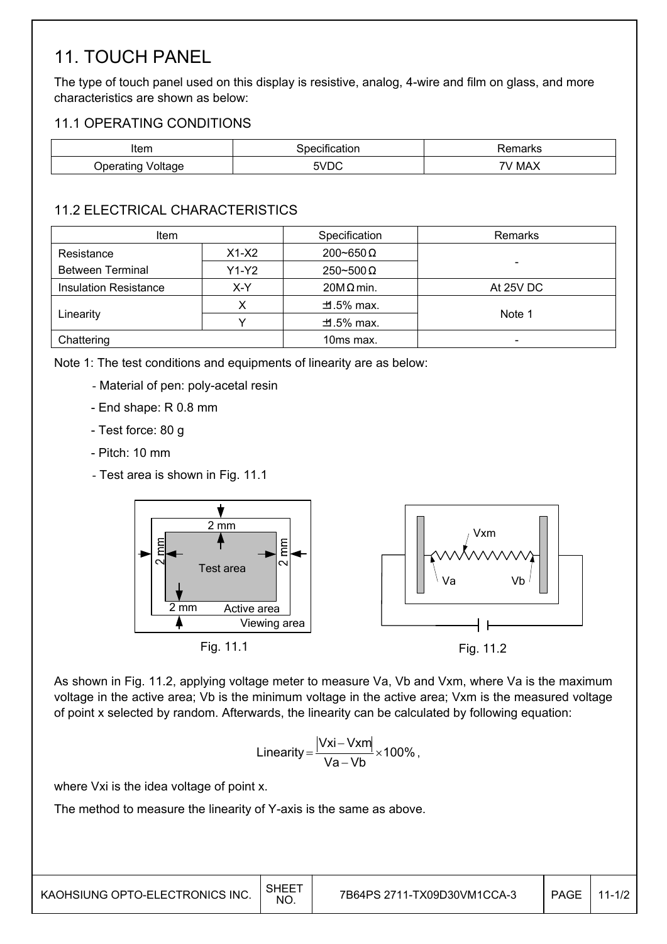### 11. TOUCH PANEL

The type of touch panel used on this display is resistive, analog, 4-wire and film on glass, and more characteristics are shown as below:

#### 11.1 OPERATING CONDITIONS

| Item                                                          | аног                 | ιαι κε |
|---------------------------------------------------------------|----------------------|--------|
| -------<br>oltage.<br><b>In</b><br>ັັ<br>שי ייטיס<br>- כהיי כ | . ער<br>◡<br>- - - - | MAX    |

#### 11.2 ELECTRICAL CHARACTERISTICS

| <b>Item</b>                  |         | Specification         | Remarks   |
|------------------------------|---------|-----------------------|-----------|
| Resistance                   | $X1-X2$ | $200 \sim 650 \Omega$ |           |
| <b>Between Terminal</b>      | $Y1-Y2$ | $250 - 500 \Omega$    |           |
| <b>Insulation Resistance</b> | X-Y     | $20M\Omega$ min.      | At 25V DC |
|                              |         | $\pm 0.5\%$ max.      |           |
| Linearity                    |         | $\pm 0.5\%$ max.      | Note 1    |
| Chattering                   |         | 10ms max.             |           |

Note 1: The test conditions and equipments of linearity are as below:

- Material of pen: poly-acetal resin
- End shape: R 0.8 mm
- Test force: 80 g
- Pitch: 10 mm
- Test area is shown in Fig. 11.1



As shown in Fig. 11.2, applying voltage meter to measure Va, Vb and Vxm, where Va is the maximum voltage in the active area; Vb is the minimum voltage in the active area; Vxm is the measured voltage of point x selected by random. Afterwards, the linearity can be calculated by following equation:

$$
Linearity = \frac{|Vxi - Vxm|}{Va - Vb} \times 100\%
$$

where Vxi is the idea voltage of point x.

The method to measure the linearity of Y-axis is the same as above.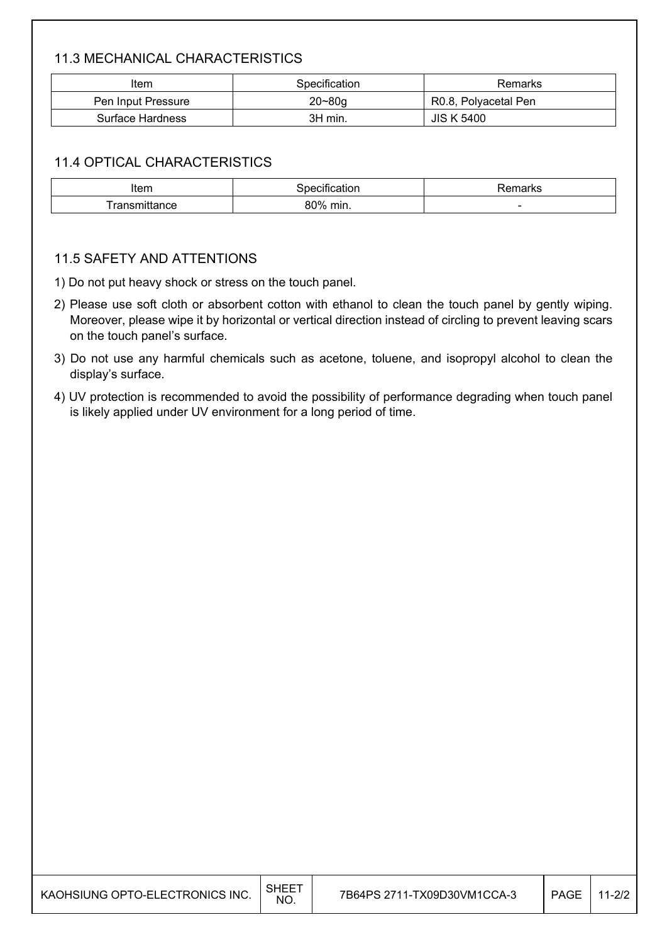#### 11.3 MECHANICAL CHARACTERISTICS

| Item               | Specification | Remarks              |
|--------------------|---------------|----------------------|
| Pen Input Pressure | $20 - 80q$    | R0.8, Polyacetal Pen |
| Surface Hardness   | 3H min.       | <b>JIS K 5400</b>    |

#### 11.4 OPTICAL CHARACTERISTICS

| $\mathbf{r}$<br>ונסווו | DТ                 | ``     |
|------------------------|--------------------|--------|
| *ance                  | 0N0/<br>min.<br>ור | $\sim$ |

#### 11.5 SAFETY AND ATTENTIONS

1) Do not put heavy shock or stress on the touch panel.

- 2) Please use soft cloth or absorbent cotton with ethanol to clean the touch panel by gently wiping. Moreover, please wipe it by horizontal or vertical direction instead of circling to prevent leaving scars on the touch panel's surface.
- 3) Do not use any harmful chemicals such as acetone, toluene, and isopropyl alcohol to clean the display's surface.
- 4) UV protection is recommended to avoid the possibility of performance degrading when touch panel is likely applied under UV environment for a long period of time.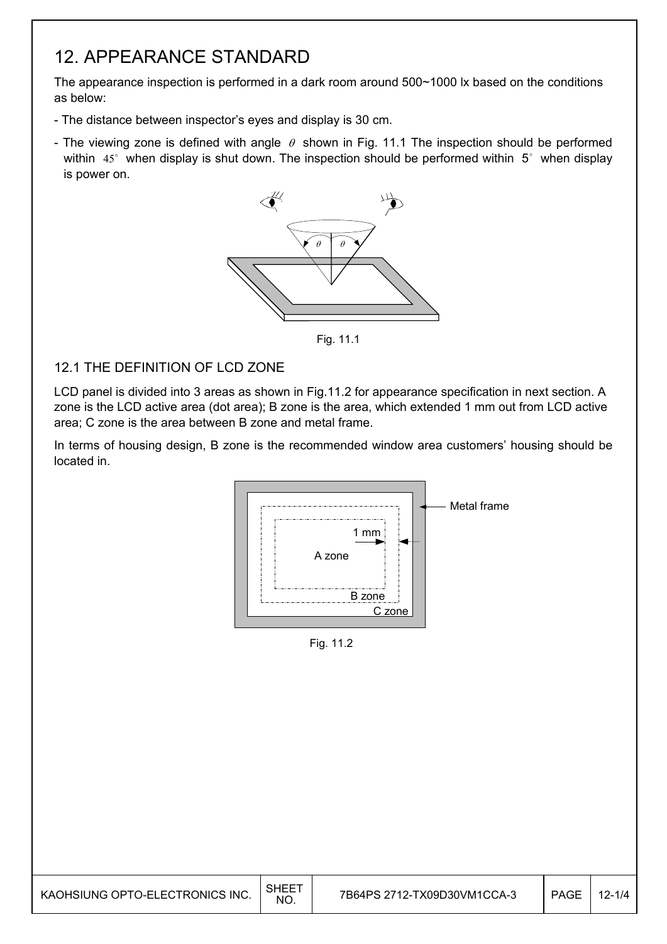### 12. APPEARANCE STANDARD

The appearance inspection is performed in a dark room around 500~1000 lx based on the conditions as below:

- The distance between inspector's eyes and display is 30 cm.
- The viewing zone is defined with angle  $\theta$  shown in Fig. 11.1 The inspection should be performed within  $45^\circ$  when display is shut down. The inspection should be performed within  $5^\circ$  when display is power on.



Fig. 11.1

#### 12.1 THE DEFINITION OF LCD ZONE

LCD panel is divided into 3 areas as shown in Fig.11.2 for appearance specification in next section. A zone is the LCD active area (dot area); B zone is the area, which extended 1 mm out from LCD active area; C zone is the area between B zone and metal frame.

In terms of housing design, B zone is the recommended window area customers' housing should be located in.



Fig. 11.2

I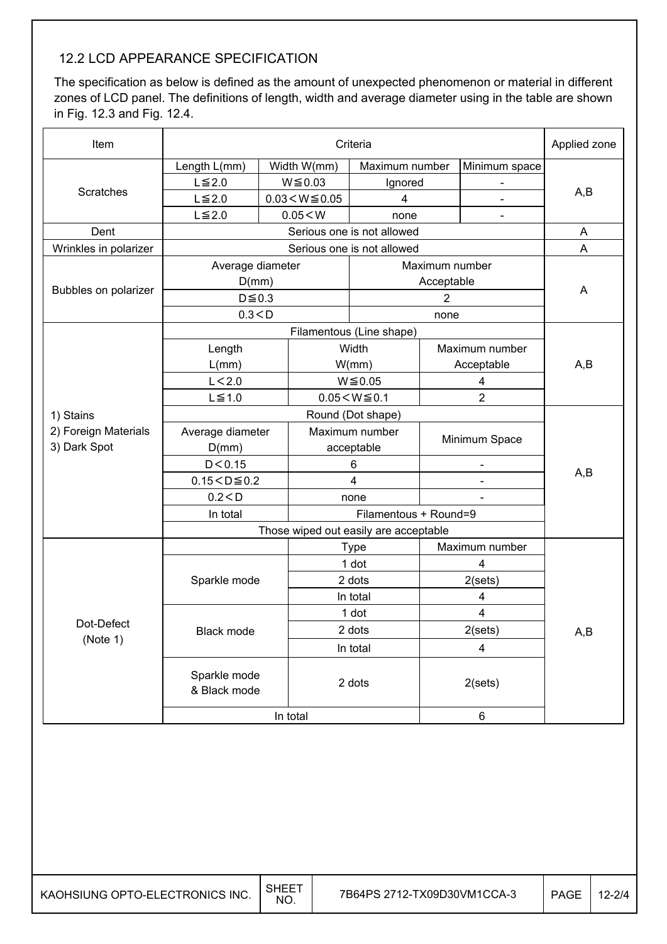#### 12.2 LCD APPEARANCE SPECIFICATION

I

The specification as below is defined as the amount of unexpected phenomenon or material in different zones of LCD panel. The definitions of length, width and average diameter using in the table are shown in Fig. 12.3 and Fig. 12.4.

| Item                     | Criteria                              |                                    |                            |                       | Applied zone             |                           |
|--------------------------|---------------------------------------|------------------------------------|----------------------------|-----------------------|--------------------------|---------------------------|
|                          | Length L(mm)                          | Width W(mm)                        | Maximum number             |                       | Minimum space            |                           |
|                          | $L \leq 2.0$                          | $W \le 0.03$                       | Ignored                    |                       |                          |                           |
| <b>Scratches</b>         | $L \leq 2.0$                          | $0.03 < W \le 0.05$                | 4                          |                       |                          | A,B                       |
|                          | $L \leq 2.0$                          | 0.05 < W                           | none                       |                       |                          |                           |
| Dent                     |                                       |                                    | Serious one is not allowed |                       |                          | A                         |
| Wrinkles in polarizer    |                                       |                                    | Serious one is not allowed |                       |                          | A                         |
|                          | Average diameter                      |                                    |                            | Maximum number        |                          |                           |
|                          | D(mm)                                 |                                    |                            | Acceptable            |                          |                           |
| Bubbles on polarizer     | $D \le 0.3$                           |                                    |                            | $\overline{2}$        |                          | A                         |
|                          | 0.3 < D                               |                                    |                            | none                  |                          |                           |
|                          |                                       |                                    | Filamentous (Line shape)   |                       |                          |                           |
|                          | Length                                |                                    | Width                      |                       | Maximum number           |                           |
|                          | L(mm)                                 |                                    | W/mm)                      |                       | Acceptable               | A,B                       |
|                          | L < 2.0                               |                                    | $W \le 0.05$               | 4                     |                          |                           |
|                          | $L \leq 1.0$                          |                                    | $0.05 < W \le 0.1$         | $\overline{2}$        |                          |                           |
| 1) Stains                | Round (Dot shape)                     |                                    |                            |                       |                          |                           |
| 2) Foreign Materials     |                                       | Maximum number<br>Average diameter |                            |                       |                          |                           |
| 3) Dark Spot             | D(mm)                                 |                                    | acceptable                 | Minimum Space         |                          |                           |
|                          | D < 0.15                              |                                    | 6                          |                       | $\overline{\phantom{0}}$ |                           |
|                          | $0.15 < D \le 0.2$                    |                                    | 4                          |                       |                          | A,B                       |
|                          | 0.2 < D                               |                                    | none                       |                       |                          |                           |
|                          | In total                              |                                    |                            | Filamentous + Round=9 |                          |                           |
|                          | Those wiped out easily are acceptable |                                    |                            |                       |                          |                           |
|                          |                                       |                                    | Maximum number             |                       |                          |                           |
|                          |                                       |                                    | 1 dot                      |                       | 4                        |                           |
|                          | Sparkle mode                          |                                    | 2 dots                     |                       | 2(sets)                  |                           |
|                          |                                       |                                    | In total                   |                       | 4                        |                           |
| Dot-Defect<br>Black mode |                                       |                                    | 1 dot                      |                       | 4                        |                           |
|                          |                                       |                                    | 2 dots                     |                       | 2(sets)                  | $\mathsf{A},\!\mathsf{B}$ |
| (Note 1)                 |                                       |                                    | In total                   |                       | 4                        |                           |
|                          | Sparkle mode<br>& Black mode          |                                    | 2 dots                     |                       | 2(sets)                  |                           |
|                          |                                       | In total                           |                            |                       | 6                        |                           |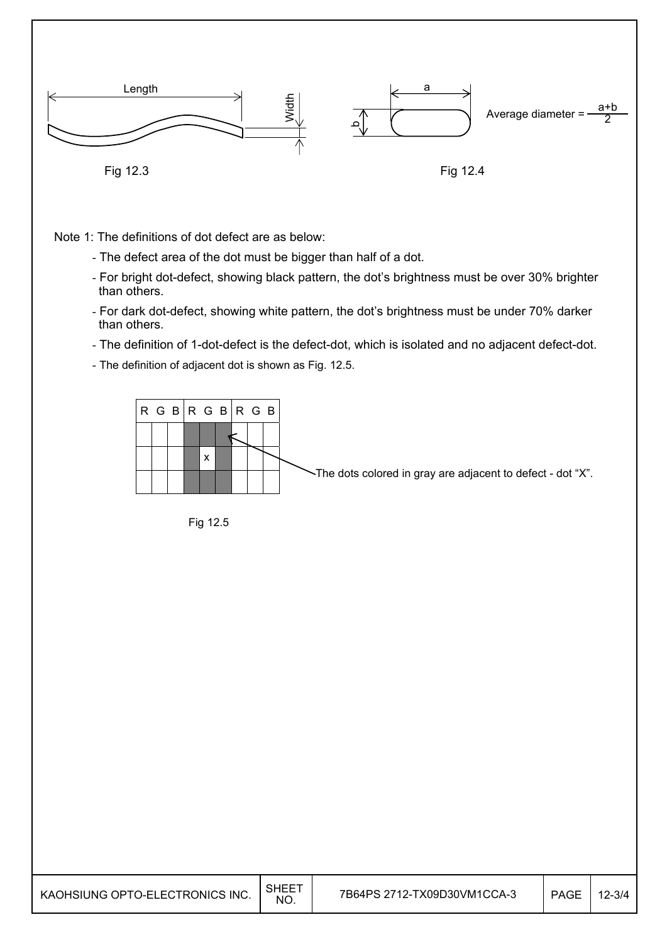

Note 1: The definitions of dot defect are as below:

- The defect area of the dot must be bigger than half of a dot.
- For bright dot-defect, showing black pattern, the dot's brightness must be over 30% brighter than others.
- For dark dot-defect, showing white pattern, the dot's brightness must be under 70% darker than others.
- The definition of 1-dot-defect is the defect-dot, which is isolated and no adjacent defect-dot.
- The definition of adjacent dot is shown as Fig. 12.5.



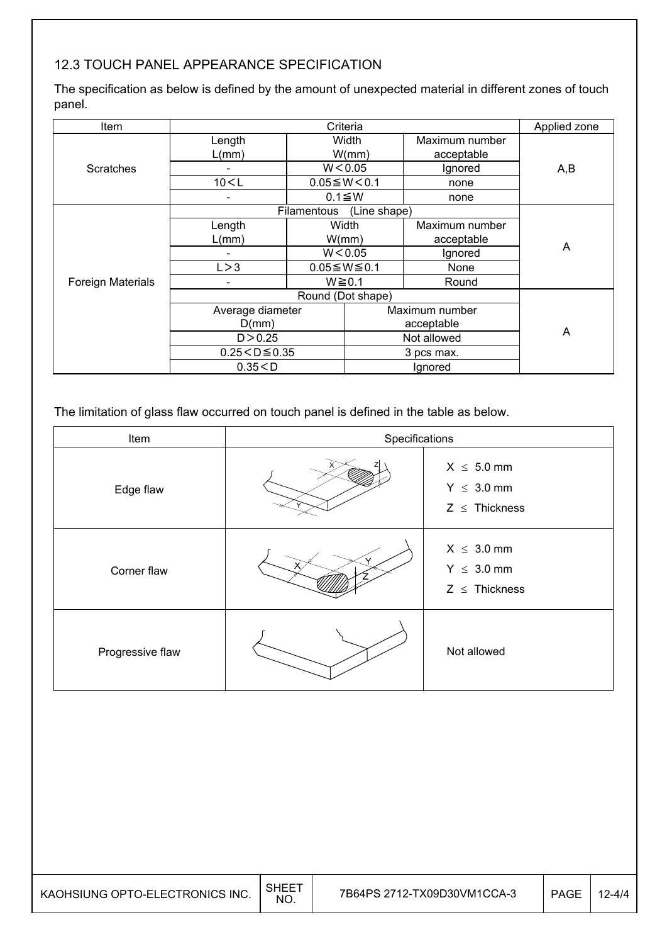#### 12.3 TOUCH PANEL APPEARANCE SPECIFICATION

The specification as below is defined by the amount of unexpected material in different zones of touch panel.

| <b>Item</b>              | Criteria                        |                      |                        | Applied zone   |     |  |
|--------------------------|---------------------------------|----------------------|------------------------|----------------|-----|--|
|                          | Length                          |                      | Width                  | Maximum number |     |  |
|                          | L(mm)                           |                      | W/mm)                  | acceptable     |     |  |
| <b>Scratches</b>         |                                 |                      | W < 0.05               | Ignored        | A,B |  |
|                          | 10 < L                          |                      | $0.05 \leq W \leq 0.1$ | none           |     |  |
|                          | -                               |                      | $0.1 \leq W$           | none           |     |  |
|                          | (Line shape)<br>Filamentous     |                      |                        |                |     |  |
|                          | Length                          | Width                |                        | Maximum number |     |  |
|                          | L(mm)                           | W/mm)                |                        | acceptable     | A   |  |
|                          |                                 | W < 0.05             |                        | Ignored        |     |  |
|                          | L > 3                           | $0.05 \le W \le 0.1$ |                        | <b>None</b>    |     |  |
| <b>Foreign Materials</b> | -                               | $W \ge 0.1$          |                        | Round          |     |  |
|                          |                                 |                      | Round (Dot shape)      |                |     |  |
|                          | Average diameter                |                      |                        | Maximum number |     |  |
|                          | D(mm)                           |                      | acceptable             |                |     |  |
|                          | D > 0.25                        |                      |                        | Not allowed    | A   |  |
|                          | $0.25 < D \le 0.35$<br>0.35 < D |                      | 3 pcs max.             |                |     |  |
|                          |                                 |                      | Ignored                |                |     |  |

The limitation of glass flaw occurred on touch panel is defined in the table as below.

| Item             | Specifications |                                                          |  |  |  |
|------------------|----------------|----------------------------------------------------------|--|--|--|
| Edge flaw        |                | $X \leq 5.0$ mm<br>$Y \leq 3.0$ mm<br>$Z \leq$ Thickness |  |  |  |
| Corner flaw      |                | $X \leq 3.0$ mm<br>$Y \leq 3.0$ mm<br>$Z \leq$ Thickness |  |  |  |
| Progressive flaw |                | Not allowed                                              |  |  |  |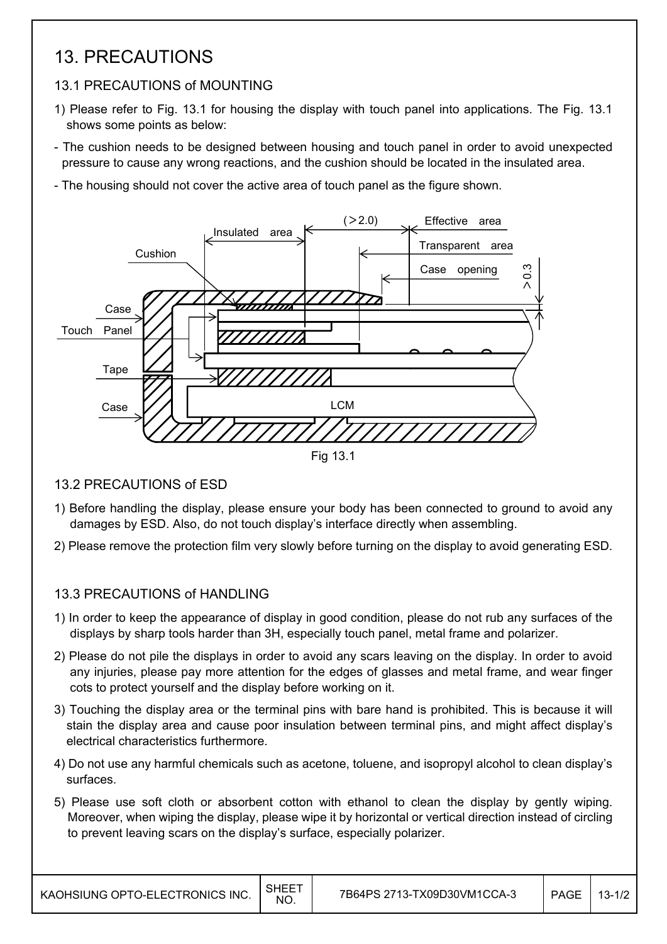### 13. PRECAUTIONS

#### 13.1 PRECAUTIONS of MOUNTING

- 1) Please refer to Fig. 13.1 for housing the display with touch panel into applications. The Fig. 13.1 shows some points as below:
- The cushion needs to be designed between housing and touch panel in order to avoid unexpected pressure to cause any wrong reactions, and the cushion should be located in the insulated area.
- The housing should not cover the active area of touch panel as the figure shown.



#### 13.2 PRECAUTIONS of ESD

- 1) Before handling the display, please ensure your body has been connected to ground to avoid any damages by ESD. Also, do not touch display's interface directly when assembling.
- 2) Please remove the protection film very slowly before turning on the display to avoid generating ESD.

#### 13.3 PRECAUTIONS of HANDLING

- 1) In order to keep the appearance of display in good condition, please do not rub any surfaces of the displays by sharp tools harder than 3H, especially touch panel, metal frame and polarizer.
- 2) Please do not pile the displays in order to avoid any scars leaving on the display. In order to avoid any injuries, please pay more attention for the edges of glasses and metal frame, and wear finger cots to protect yourself and the display before working on it.
- 3) Touching the display area or the terminal pins with bare hand is prohibited. This is because it will stain the display area and cause poor insulation between terminal pins, and might affect display's electrical characteristics furthermore.
- 4) Do not use any harmful chemicals such as acetone, toluene, and isopropyl alcohol to clean display's surfaces.
- 5) Please use soft cloth or absorbent cotton with ethanol to clean the display by gently wiping. Moreover, when wiping the display, please wipe it by horizontal or vertical direction instead of circling to prevent leaving scars on the display's surface, especially polarizer.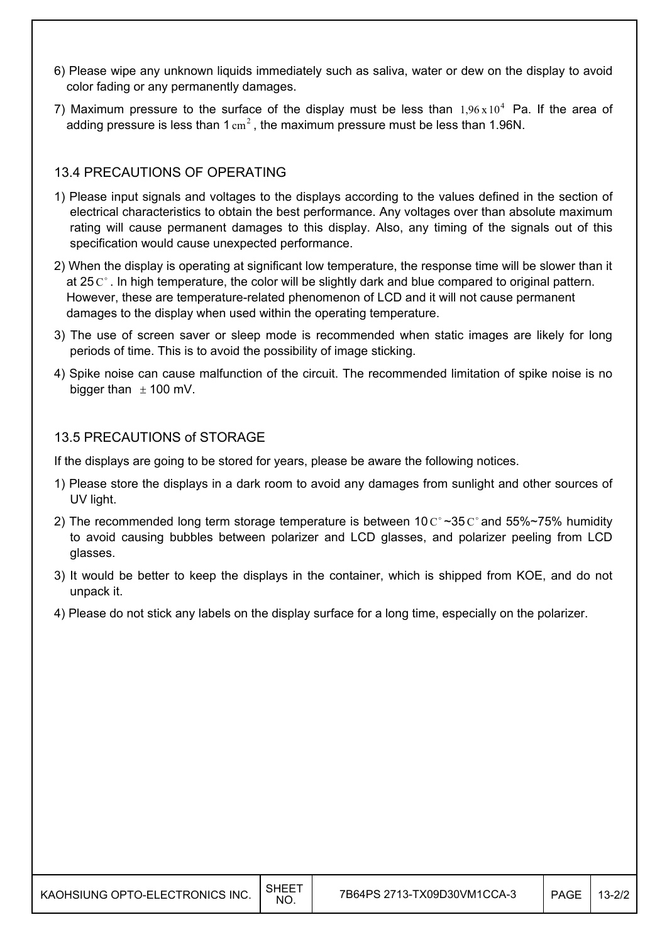- 6) Please wipe any unknown liquids immediately such as saliva, water or dew on the display to avoid color fading or any permanently damages.
- 7) Maximum pressure to the surface of the display must be less than  $1.96 \times 10^4$  Pa. If the area of adding pressure is less than 1  $\text{cm}^2$ . the maximum pressure must be less than 1.96N.

#### 13.4 PRECAUTIONS OF OPERATING

- 1) Please input signals and voltages to the displays according to the values defined in the section of electrical characteristics to obtain the best performance. Any voltages over than absolute maximum rating will cause permanent damages to this display. Also, any timing of the signals out of this specification would cause unexpected performance.
- 2) When the display is operating at significant low temperature, the response time will be slower than it at 25 $C^{\circ}$ . In high temperature, the color will be slightly dark and blue compared to original pattern. However, these are temperature-related phenomenon of LCD and it will not cause permanent damages to the display when used within the operating temperature.
- 3) The use of screen saver or sleep mode is recommended when static images are likely for long periods of time. This is to avoid the possibility of image sticking.
- 4) Spike noise can cause malfunction of the circuit. The recommended limitation of spike noise is no bigger than  $\pm$  100 mV.

#### 13.5 PRECAUTIONS of STORAGE

If the displays are going to be stored for years, please be aware the following notices.

- 1) Please store the displays in a dark room to avoid any damages from sunlight and other sources of UV light.
- 2) The recommended long term storage temperature is between  $10 \degree \degree 35 \degree \degree$  and  $55\% \degree 75\%$  humidity to avoid causing bubbles between polarizer and LCD glasses, and polarizer peeling from LCD glasses.
- 3) It would be better to keep the displays in the container, which is shipped from KOE, and do not unpack it.
- 4) Please do not stick any labels on the display surface for a long time, especially on the polarizer.